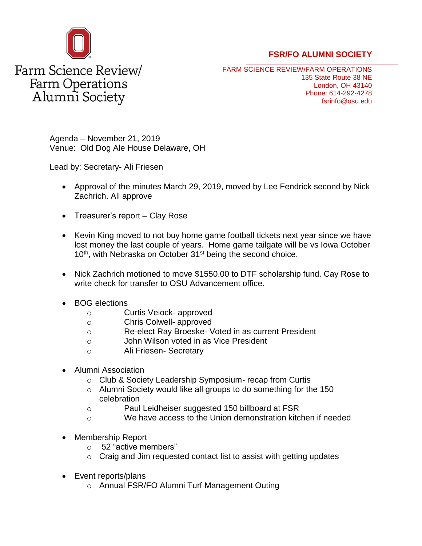

## **FSR/FO ALUMNI SOCIETY**

FARM SCIENCE REVIEW/FARM OPERATIONS 135 State Route 38 NE London, OH 43140 Phone: 614-292-4278 fsrinfo@osu.edu

Agenda – November 21, 2019 Venue: Old Dog Ale House Delaware, OH

Lead by: Secretary- Ali Friesen

- Approval of the minutes March 29, 2019, moved by Lee Fendrick second by Nick Zachrich. All approve
- Treasurer's report Clay Rose
- Kevin King moved to not buy home game football tickets next year since we have lost money the last couple of years. Home game tailgate will be vs Iowa October 10<sup>th</sup>, with Nebraska on October 31<sup>st</sup> being the second choice.
- Nick Zachrich motioned to move \$1550.00 to DTF scholarship fund. Cay Rose to write check for transfer to OSU Advancement office.
- BOG elections
	- o Curtis Veiock- approved
	- o Chris Colwell- approved
	- o Re-elect Ray Broeske- Voted in as current President
	- o John Wilson voted in as Vice President
	- o Ali Friesen- Secretary
- Alumni Association
	- o Club & Society Leadership Symposium- recap from Curtis
	- o Alumni Society would like all groups to do something for the 150 celebration
	- o Paul Leidheiser suggested 150 billboard at FSR
	- o We have access to the Union demonstration kitchen if needed
- Membership Report
	- o 52 "active members"
	- $\circ$  Craig and Jim requested contact list to assist with getting updates
- Event reports/plans
	- o Annual FSR/FO Alumni Turf Management Outing